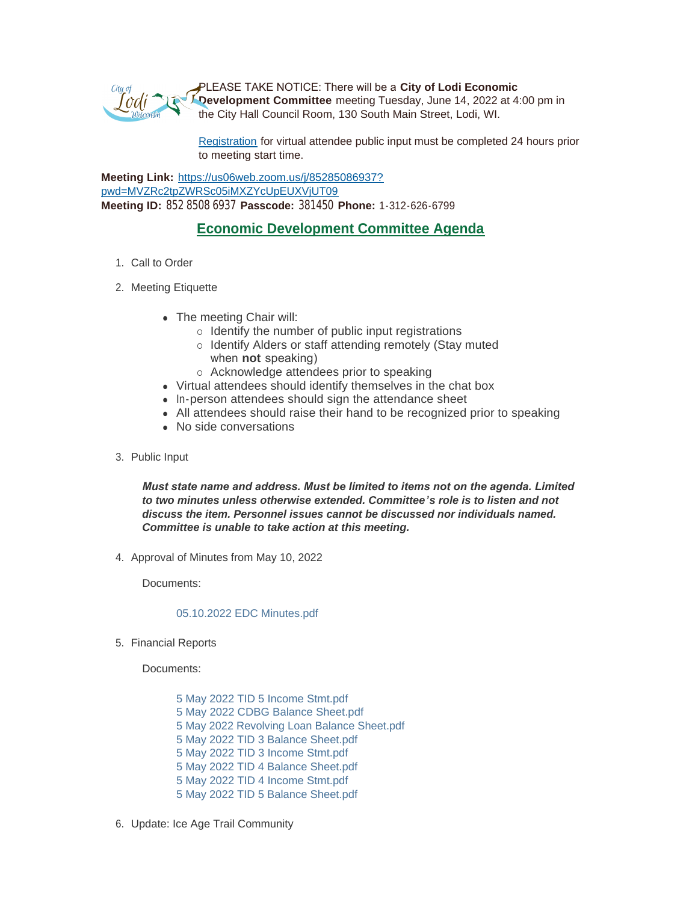

PLEASE TAKE NOTICE: There will be a **City of Lodi Economic Development Committee** meeting Tuesday, June 14, 2022 at 4:00 pm in the City Hall Council Room, 130 South Main Street, Lodi, WI.

[Registration](https://www.cityoflodi.us/CivicAlerts.aspx?AID=467) for virtual attendee public input must be completed 24 hours prior to meeting start time.

**Meeting Link:** [https://us06web.zoom.us/j/85285086937?](https://us06web.zoom.us/j/85285086937?pwd=MVZRc2tpZWRSc05iMXZYcUpEUXVjUT09) pwd=MVZRc2tpZWRSc05iMXZYcUpEUXVjUT09 **Meeting ID:** 852 8508 6937 **Passcode:** 381450 **Phone:** 1-312-626-6799

## **Economic Development Committee Agenda**

- 1. Call to Order
- 2. Meeting Etiquette
	- The meeting Chair will:
		- $\circ$  Identify the number of public input registrations
		- o Identify Alders or staff attending remotely (Stay muted when **not** speaking)
		- o Acknowledge attendees prior to speaking
	- Virtual attendees should identify themselves in the chat box
	- In-person attendees should sign the attendance sheet
	- All attendees should raise their hand to be recognized prior to speaking
	- No side conversations
- 3. Public Input

*Must state name and address. Must be limited to items not on the agenda. Limited to two minutes unless otherwise extended. Committee's role is to listen and not discuss the item. Personnel issues cannot be discussed nor individuals named. Committee is unable to take action at this meeting.*

4. Approval of Minutes from May 10, 2022

Documents:

## [05.10.2022 EDC Minutes.pdf](http://cityoflodi.us/AgendaCenter/ViewFile/Item/15163?fileID=12120)

5. Financial Reports

Documents:

[5 May 2022 TID 5 Income Stmt.pdf](http://cityoflodi.us/AgendaCenter/ViewFile/Item/15154?fileID=12102) [5 May 2022 CDBG Balance Sheet.pdf](http://cityoflodi.us/AgendaCenter/ViewFile/Item/15154?fileID=12103) [5 May 2022 Revolving Loan Balance Sheet.pdf](http://cityoflodi.us/AgendaCenter/ViewFile/Item/15154?fileID=12104) [5 May 2022 TID 3 Balance Sheet.pdf](http://cityoflodi.us/AgendaCenter/ViewFile/Item/15154?fileID=12105) [5 May 2022 TID 3 Income Stmt.pdf](http://cityoflodi.us/AgendaCenter/ViewFile/Item/15154?fileID=12106) [5 May 2022 TID 4 Balance Sheet.pdf](http://cityoflodi.us/AgendaCenter/ViewFile/Item/15154?fileID=12107) [5 May 2022 TID 4 Income Stmt.pdf](http://cityoflodi.us/AgendaCenter/ViewFile/Item/15154?fileID=12108) [5 May 2022 TID 5 Balance Sheet.pdf](http://cityoflodi.us/AgendaCenter/ViewFile/Item/15154?fileID=12109)

6. Update: Ice Age Trail Community